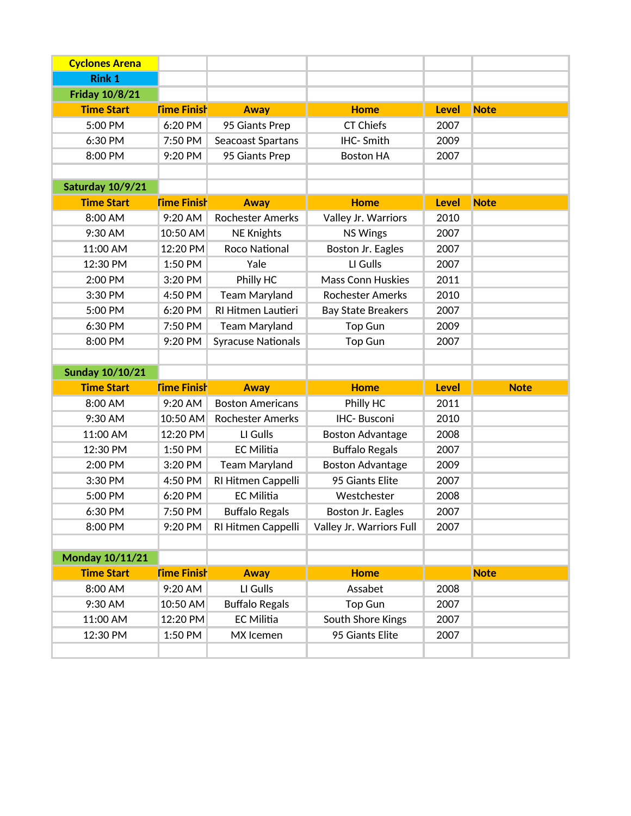| <b>Cyclones Arena</b>  |                    |                           |                           |              |             |
|------------------------|--------------------|---------------------------|---------------------------|--------------|-------------|
| <b>Rink 1</b>          |                    |                           |                           |              |             |
| <b>Friday 10/8/21</b>  |                    |                           |                           |              |             |
| <b>Time Start</b>      | <b>Time Finish</b> | <b>Away</b>               | <b>Home</b>               | <b>Level</b> | <b>Note</b> |
| 5:00 PM                | 6:20 PM            | 95 Giants Prep            | <b>CT Chiefs</b>          | 2007         |             |
| 6:30 PM                | 7:50 PM            | Seacoast Spartans         | IHC-Smith                 | 2009         |             |
| 8:00 PM                | 9:20 PM            | 95 Giants Prep            | <b>Boston HA</b>          | 2007         |             |
|                        |                    |                           |                           |              |             |
| Saturday 10/9/21       |                    |                           |                           |              |             |
| <b>Time Start</b>      | <b>Time Finish</b> | <b>Away</b>               | <b>Home</b>               | <b>Level</b> | <b>Note</b> |
| 8:00 AM                | 9:20 AM            | <b>Rochester Amerks</b>   | Valley Jr. Warriors       | 2010         |             |
| 9:30 AM                | 10:50 AM           | <b>NE Knights</b>         | <b>NS Wings</b>           | 2007         |             |
| 11:00 AM               | 12:20 PM           | Roco National             | Boston Jr. Eagles         | 2007         |             |
| 12:30 PM               | 1:50 PM            | Yale                      | LI Gulls                  | 2007         |             |
| 2:00 PM                | 3:20 PM            | Philly HC                 | <b>Mass Conn Huskies</b>  | 2011         |             |
| 3:30 PM                | 4:50 PM            | <b>Team Maryland</b>      | <b>Rochester Amerks</b>   | 2010         |             |
| 5:00 PM                | 6:20 PM            | RI Hitmen Lautieri        | <b>Bay State Breakers</b> | 2007         |             |
| 6:30 PM                | 7:50 PM            | <b>Team Maryland</b>      | <b>Top Gun</b>            | 2009         |             |
| 8:00 PM                | 9:20 PM            | <b>Syracuse Nationals</b> | <b>Top Gun</b>            | 2007         |             |
|                        |                    |                           |                           |              |             |
|                        |                    |                           |                           |              |             |
| <b>Sunday 10/10/21</b> |                    |                           |                           |              |             |
| <b>Time Start</b>      | <b>Time Finish</b> | <b>Away</b>               | <b>Home</b>               | <b>Level</b> | <b>Note</b> |
| 8:00 AM                | 9:20 AM            | <b>Boston Americans</b>   | Philly HC                 | 2011         |             |
| 9:30 AM                | 10:50 AM           | <b>Rochester Amerks</b>   | <b>IHC-Busconi</b>        | 2010         |             |
| 11:00 AM               | 12:20 PM           | LI Gulls                  | <b>Boston Advantage</b>   | 2008         |             |
| 12:30 PM               | 1:50 PM            | <b>EC Militia</b>         | <b>Buffalo Regals</b>     | 2007         |             |
| 2:00 PM                | 3:20 PM            | <b>Team Maryland</b>      | <b>Boston Advantage</b>   | 2009         |             |
| 3:30 PM                | 4:50 PM            | RI Hitmen Cappelli        | 95 Giants Elite           | 2007         |             |
| 5:00 PM                | 6:20 PM            | <b>EC Militia</b>         | Westchester               | 2008         |             |
| 6:30 PM                | 7:50 PM            | <b>Buffalo Regals</b>     | Boston Jr. Eagles         | 2007         |             |
| 8:00 PM                | 9:20 PM            | RI Hitmen Cappelli        | Valley Jr. Warriors Full  | 2007         |             |
|                        |                    |                           |                           |              |             |
| Monday 10/11/21        |                    |                           |                           |              |             |
| <b>Time Start</b>      | <b>Time Finish</b> | <b>Away</b>               | <b>Home</b>               |              | <b>Note</b> |
| 8:00 AM                | 9:20 AM            | LI Gulls                  | Assabet                   | 2008         |             |
| 9:30 AM                | 10:50 AM           | <b>Buffalo Regals</b>     | <b>Top Gun</b>            | 2007         |             |
| 11:00 AM               | 12:20 PM           | EC Militia                | South Shore Kings         | 2007         |             |
| 12:30 PM               | 1:50 PM            | MX Icemen                 | 95 Giants Elite           | 2007         |             |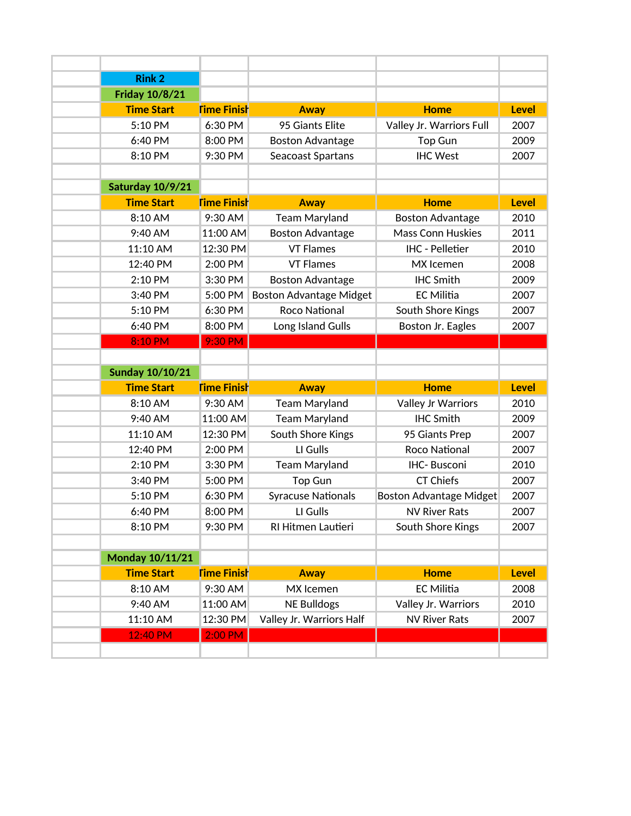| <b>Rink 2</b>          |                    |                                |                                |              |
|------------------------|--------------------|--------------------------------|--------------------------------|--------------|
| <b>Friday 10/8/21</b>  |                    |                                |                                |              |
| <b>Time Start</b>      | <b>Time Finish</b> | <b>Away</b>                    | <b>Home</b>                    | <b>Level</b> |
| 5:10 PM                | 6:30 PM            | 95 Giants Elite                | Valley Jr. Warriors Full       | 2007         |
| 6:40 PM                | 8:00 PM            | <b>Boston Advantage</b>        | <b>Top Gun</b>                 | 2009         |
| 8:10 PM                | 9:30 PM            | Seacoast Spartans              | <b>IHC West</b>                | 2007         |
|                        |                    |                                |                                |              |
| Saturday 10/9/21       |                    |                                |                                |              |
| <b>Time Start</b>      | <b>Time Finish</b> | <b>Away</b>                    | <b>Home</b>                    | <b>Level</b> |
| 8:10 AM                | 9:30 AM            | <b>Team Maryland</b>           | <b>Boston Advantage</b>        | 2010         |
| 9:40 AM                | 11:00 AM           | <b>Boston Advantage</b>        | <b>Mass Conn Huskies</b>       | 2011         |
| 11:10 AM               | 12:30 PM           | <b>VT Flames</b>               | <b>IHC - Pelletier</b>         | 2010         |
| 12:40 PM               | 2:00 PM            | <b>VT Flames</b>               | MX Icemen                      | 2008         |
| 2:10 PM                | 3:30 PM            | <b>Boston Advantage</b>        | <b>IHC Smith</b>               | 2009         |
| 3:40 PM                | 5:00 PM            | <b>Boston Advantage Midget</b> | <b>EC Militia</b>              | 2007         |
| 5:10 PM                | 6:30 PM            | <b>Roco National</b>           | South Shore Kings              | 2007         |
| 6:40 PM                | 8:00 PM            | Long Island Gulls              | Boston Jr. Eagles              | 2007         |
| 8:10 PM                | 9:30 PM            |                                |                                |              |
|                        |                    |                                |                                |              |
| <b>Sunday 10/10/21</b> |                    |                                |                                |              |
| <b>Time Start</b>      | <b>Time Finish</b> | <b>Away</b>                    | <b>Home</b>                    | <b>Level</b> |
| 8:10 AM                | 9:30 AM            | <b>Team Maryland</b>           | Valley Jr Warriors             | 2010         |
| 9:40 AM                | 11:00 AM           | <b>Team Maryland</b>           | <b>IHC Smith</b>               | 2009         |
| 11:10 AM               | 12:30 PM           | South Shore Kings              | 95 Giants Prep                 | 2007         |
| 12:40 PM               | 2:00 PM            | LI Gulls                       | Roco National                  | 2007         |
| 2:10 PM                | 3:30 PM            | <b>Team Maryland</b>           | IHC-Busconi                    | 2010         |
| 3:40 PM                | 5:00 PM            | <b>Top Gun</b>                 | <b>CT Chiefs</b>               | 2007         |
| 5:10 PM                | 6:30 PM            | <b>Syracuse Nationals</b>      | <b>Boston Advantage Midget</b> | 2007         |
| 6:40 PM                | 8:00 PM            | LI Gulls                       | <b>NV River Rats</b>           | 2007         |
| 8:10 PM                | 9:30 PM            | RI Hitmen Lautieri             | South Shore Kings              | 2007         |
|                        |                    |                                |                                |              |
| <b>Monday 10/11/21</b> |                    |                                |                                |              |
| <b>Time Start</b>      | <b>Time Finish</b> | <b>Away</b>                    | <b>Home</b>                    | <b>Level</b> |
| 8:10 AM                | 9:30 AM            | MX Icemen                      | <b>EC Militia</b>              | 2008         |
|                        |                    |                                |                                |              |
| 9:40 AM                | 11:00 AM           | <b>NE Bulldogs</b>             | Valley Jr. Warriors            | 2010         |
| 11:10 AM               | 12:30 PM           | Valley Jr. Warriors Half       | <b>NV River Rats</b>           | 2007         |
| 12:40 PM               | 2:00 PM            |                                |                                |              |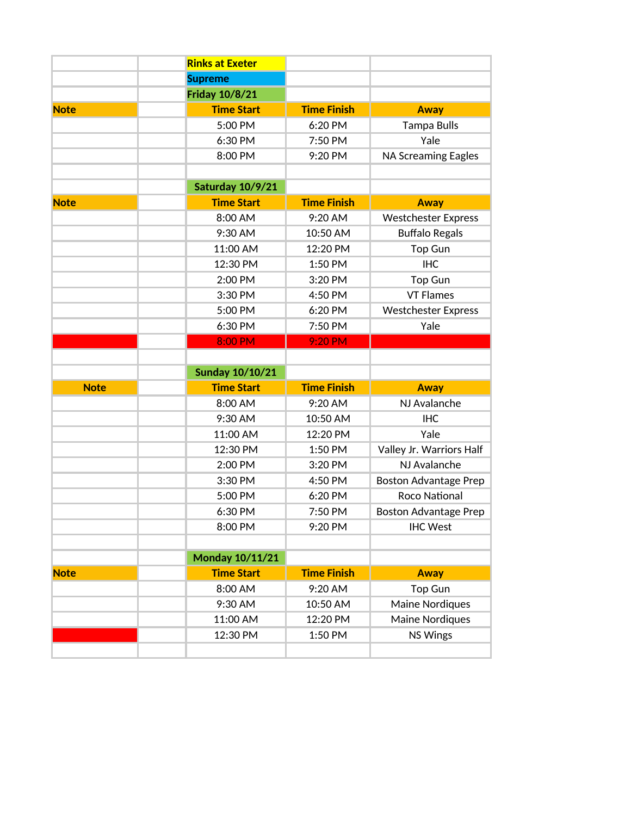|             | <b>Rinks at Exeter</b> |                    |                              |
|-------------|------------------------|--------------------|------------------------------|
|             | <b>Supreme</b>         |                    |                              |
|             | <b>Friday 10/8/21</b>  |                    |                              |
| <b>Note</b> | <b>Time Start</b>      | <b>Time Finish</b> | <b>Away</b>                  |
|             | 5:00 PM                | 6:20 PM            | <b>Tampa Bulls</b>           |
|             | 6:30 PM                | 7:50 PM            | Yale                         |
|             | 8:00 PM                | 9:20 PM            | <b>NA Screaming Eagles</b>   |
|             |                        |                    |                              |
|             | Saturday 10/9/21       |                    |                              |
| <b>Note</b> | <b>Time Start</b>      | <b>Time Finish</b> | <b>Away</b>                  |
|             | 8:00 AM                | 9:20 AM            | <b>Westchester Express</b>   |
|             | 9:30 AM                | 10:50 AM           | <b>Buffalo Regals</b>        |
|             | 11:00 AM               | 12:20 PM           | Top Gun                      |
|             | 12:30 PM               | 1:50 PM            | <b>IHC</b>                   |
|             | 2:00 PM                | 3:20 PM            | <b>Top Gun</b>               |
|             | 3:30 PM                | 4:50 PM            | <b>VT Flames</b>             |
|             | 5:00 PM                | 6:20 PM            | <b>Westchester Express</b>   |
|             | 6:30 PM                | 7:50 PM            | Yale                         |
|             | 8:00 PM                | 9:20 PM            |                              |
|             |                        |                    |                              |
|             | <b>Sunday 10/10/21</b> |                    |                              |
| <b>Note</b> | <b>Time Start</b>      | <b>Time Finish</b> | <b>Away</b>                  |
|             | 8:00 AM                | 9:20 AM            | NJ Avalanche                 |
|             | 9:30 AM                |                    |                              |
|             |                        | 10:50 AM           | <b>IHC</b>                   |
|             | 11:00 AM               | 12:20 PM           | Yale                         |
|             | 12:30 PM               | 1:50 PM            | Valley Jr. Warriors Half     |
|             | 2:00 PM                | 3:20 PM            | NJ Avalanche                 |
|             | 3:30 PM                | 4:50 PM            | <b>Boston Advantage Prep</b> |
|             | 5:00 PM                | 6:20 PM            | <b>Roco National</b>         |
|             | 6:30 PM                | 7:50 PM            | <b>Boston Advantage Prep</b> |
|             | 8:00 PM                | 9:20 PM            | <b>IHC West</b>              |
|             |                        |                    |                              |
|             | <b>Monday 10/11/21</b> |                    |                              |
| <b>Note</b> | <b>Time Start</b>      | <b>Time Finish</b> | <b>Away</b>                  |
|             | 8:00 AM                | 9:20 AM            | <b>Top Gun</b>               |
|             | 9:30 AM                | 10:50 AM           | Maine Nordiques              |
|             | 11:00 AM               | 12:20 PM           | Maine Nordiques              |
|             | 12:30 PM               | 1:50 PM            | <b>NS Wings</b>              |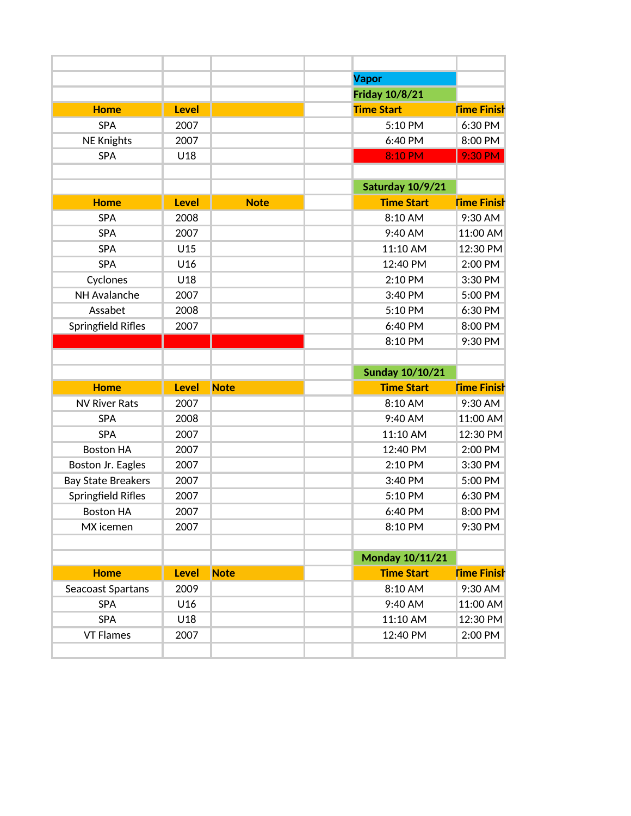|                           |              |             | <b>Vapor</b>           |                                                                              |
|---------------------------|--------------|-------------|------------------------|------------------------------------------------------------------------------|
|                           |              |             | <b>Friday 10/8/21</b>  |                                                                              |
| <b>Home</b>               | <b>Level</b> |             | <b>Time Start</b>      | <b>Time Finish</b>                                                           |
| <b>SPA</b>                | 2007         |             | 5:10 PM                | 6:30 PM                                                                      |
| <b>NE Knights</b>         | 2007         |             | 6:40 PM                | 8:00 PM                                                                      |
| <b>SPA</b>                | U18          |             | 8:10 PM                | 9:30 PM                                                                      |
|                           |              |             |                        |                                                                              |
|                           |              |             | Saturday 10/9/21       |                                                                              |
| <b>Home</b>               | <b>Level</b> | <b>Note</b> | <b>Time Start</b>      | <b>Time Finish</b>                                                           |
| <b>SPA</b>                | 2008         |             | 8:10 AM                | 9:30 AM                                                                      |
| <b>SPA</b>                | 2007         |             | 9:40 AM                | 11:00 AM                                                                     |
| <b>SPA</b>                | U15          |             | 11:10 AM               | 12:30 PM                                                                     |
| <b>SPA</b>                | U16          |             | 12:40 PM               | 2:00 PM                                                                      |
| Cyclones                  | U18          |             | 2:10 PM                | 3:30 PM                                                                      |
| NH Avalanche              | 2007         |             | 3:40 PM                | 5:00 PM                                                                      |
| Assabet                   | 2008         |             | 5:10 PM                | 6:30 PM                                                                      |
| Springfield Rifles        | 2007         |             | 6:40 PM                | 8:00 PM                                                                      |
|                           |              |             | 8:10 PM                | 9:30 PM                                                                      |
|                           |              |             |                        |                                                                              |
|                           |              |             |                        |                                                                              |
|                           |              |             | <b>Sunday 10/10/21</b> |                                                                              |
| <b>Home</b>               | <b>Level</b> | <b>Note</b> | <b>Time Start</b>      |                                                                              |
| <b>NV River Rats</b>      | 2007         |             | 8:10 AM                | 9:30 AM                                                                      |
| <b>SPA</b>                | 2008         |             | 9:40 AM                |                                                                              |
| <b>SPA</b>                | 2007         |             | 11:10 AM               | 12:30 PM                                                                     |
| <b>Boston HA</b>          | 2007         |             | 12:40 PM               | 2:00 PM                                                                      |
| Boston Jr. Eagles         | 2007         |             | 2:10 PM                | 3:30 PM                                                                      |
| <b>Bay State Breakers</b> | 2007         |             | 3:40 PM                | 5:00 PM                                                                      |
| Springfield Rifles        | 2007         |             | 5:10 PM                | 6:30 PM                                                                      |
| <b>Boston HA</b>          | 2007         |             | 6:40 PM                | 8:00 PM                                                                      |
| MX icemen                 | 2007         |             | 8:10 PM                | 9:30 PM                                                                      |
|                           |              |             |                        |                                                                              |
|                           |              |             | <b>Monday 10/11/21</b> |                                                                              |
| <b>Home</b>               | <b>Level</b> | <b>Note</b> | <b>Time Start</b>      |                                                                              |
| Seacoast Spartans         | 2009         |             | 8:10 AM                | 9:30 AM                                                                      |
| <b>SPA</b>                | U16          |             | 9:40 AM                |                                                                              |
| SPA                       | U18          |             | 11:10 AM               | <b>Time Finish</b><br>11:00 AM<br><b>Time Finish</b><br>11:00 AM<br>12:30 PM |
| <b>VT Flames</b>          | 2007         |             | 12:40 PM               | 2:00 PM                                                                      |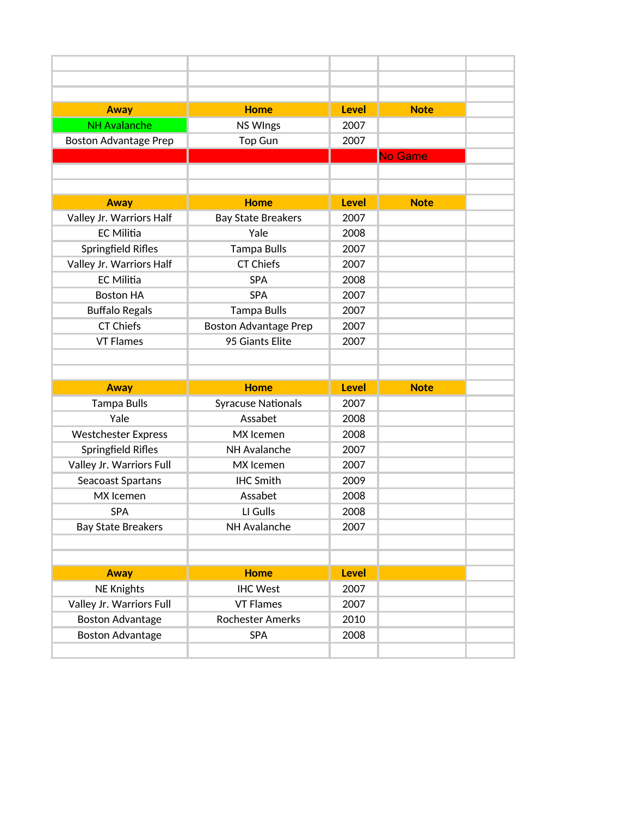| <b>Away</b>                  | <b>Home</b>                  | <b>Level</b> | <b>Note</b> |
|------------------------------|------------------------------|--------------|-------------|
| <b>NH Avalanche</b>          | <b>NS WIngs</b>              | 2007         |             |
| <b>Boston Advantage Prep</b> | Top Gun                      | 2007         |             |
|                              |                              |              | No Game     |
|                              |                              |              |             |
|                              |                              |              |             |
| Away                         | <b>Home</b>                  | <b>Level</b> | <b>Note</b> |
| Valley Jr. Warriors Half     | <b>Bay State Breakers</b>    | 2007         |             |
| <b>EC Militia</b>            | Yale                         | 2008         |             |
| Springfield Rifles           | <b>Tampa Bulls</b>           | 2007         |             |
| Valley Jr. Warriors Half     | <b>CT Chiefs</b>             | 2007         |             |
| <b>EC Militia</b>            | <b>SPA</b>                   | 2008         |             |
| <b>Boston HA</b>             | <b>SPA</b>                   | 2007         |             |
| <b>Buffalo Regals</b>        | <b>Tampa Bulls</b>           | 2007         |             |
| <b>CT Chiefs</b>             | <b>Boston Advantage Prep</b> | 2007         |             |
| <b>VT Flames</b>             | 95 Giants Elite              | 2007         |             |
|                              |                              |              |             |
|                              |                              |              |             |
|                              |                              |              |             |
| <b>Away</b>                  | <b>Home</b>                  | <b>Level</b> | <b>Note</b> |
| <b>Tampa Bulls</b>           | <b>Syracuse Nationals</b>    | 2007         |             |
| Yale                         | Assabet                      | 2008         |             |
| <b>Westchester Express</b>   | MX Icemen                    | 2008         |             |
| Springfield Rifles           | NH Avalanche                 | 2007         |             |
| Valley Jr. Warriors Full     | MX Icemen                    | 2007         |             |
| Seacoast Spartans            | <b>IHC Smith</b>             | 2009         |             |
| MX Icemen                    | Assabet                      | 2008         |             |
| <b>SPA</b>                   | LI Gulls                     | 2008         |             |
| <b>Bay State Breakers</b>    | NH Avalanche                 | 2007         |             |
|                              |                              |              |             |
|                              |                              |              |             |
| <b>Away</b>                  | <b>Home</b>                  | <b>Level</b> |             |
| <b>NE Knights</b>            | <b>IHC West</b>              | 2007         |             |
| Valley Jr. Warriors Full     | <b>VT Flames</b>             | 2007         |             |
| <b>Boston Advantage</b>      | <b>Rochester Amerks</b>      | 2010         |             |
| <b>Boston Advantage</b>      | <b>SPA</b>                   | 2008         |             |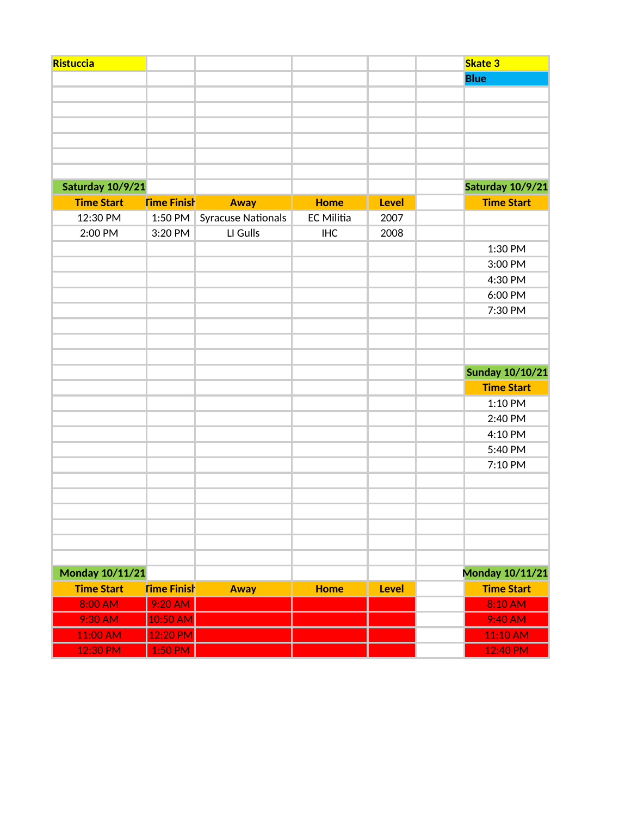| Ristuccia         |                    |                           |                   |              | <b>Skate 3</b>         |
|-------------------|--------------------|---------------------------|-------------------|--------------|------------------------|
|                   |                    |                           |                   |              | <b>Blue</b>            |
|                   |                    |                           |                   |              |                        |
|                   |                    |                           |                   |              |                        |
|                   |                    |                           |                   |              |                        |
|                   |                    |                           |                   |              |                        |
|                   |                    |                           |                   |              |                        |
|                   |                    |                           |                   |              |                        |
| Saturday 10/9/21  |                    |                           |                   |              | Saturday 10/9/21       |
| <b>Time Start</b> | <b>Time Finish</b> | <b>Away</b>               | <b>Home</b>       | <b>Level</b> | <b>Time Start</b>      |
| 12:30 PM          | 1:50 PM            | <b>Syracuse Nationals</b> | <b>EC Militia</b> | 2007         |                        |
| 2:00 PM           | 3:20 PM            | LI Gulls                  | <b>IHC</b>        | 2008         |                        |
|                   |                    |                           |                   |              | 1:30 PM                |
|                   |                    |                           |                   |              | 3:00 PM                |
|                   |                    |                           |                   |              | 4:30 PM                |
|                   |                    |                           |                   |              | 6:00 PM                |
|                   |                    |                           |                   |              | 7:30 PM                |
|                   |                    |                           |                   |              |                        |
|                   |                    |                           |                   |              |                        |
|                   |                    |                           |                   |              |                        |
|                   |                    |                           |                   |              | <b>Sunday 10/10/21</b> |
|                   |                    |                           |                   |              | <b>Time Start</b>      |
|                   |                    |                           |                   |              | 1:10 PM                |
|                   |                    |                           |                   |              | 2:40 PM                |
|                   |                    |                           |                   |              | 4:10 PM                |
|                   |                    |                           |                   |              | 5:40 PM                |
|                   |                    |                           |                   |              | 7:10 PM                |
|                   |                    |                           |                   |              |                        |
|                   |                    |                           |                   |              |                        |
|                   |                    |                           |                   |              |                        |
|                   |                    |                           |                   |              |                        |
|                   |                    |                           |                   |              |                        |
|                   |                    |                           |                   |              |                        |
| Monday 10/11/21   |                    |                           |                   |              | Monday 10/11/21        |
| <b>Time Start</b> | <b>Time Finish</b> | <b>Away</b>               | <b>Home</b>       | <b>Level</b> | <b>Time Start</b>      |
| 8:00 AM           | 9:20 AM            |                           |                   |              | 8:10 AM                |
| 9:30 AM           | 10:50 AM           |                           |                   |              | 9:40 AM                |
| 11:00 AM          | 12:20 PM           |                           |                   |              | 11:10 AM               |
|                   |                    |                           |                   |              |                        |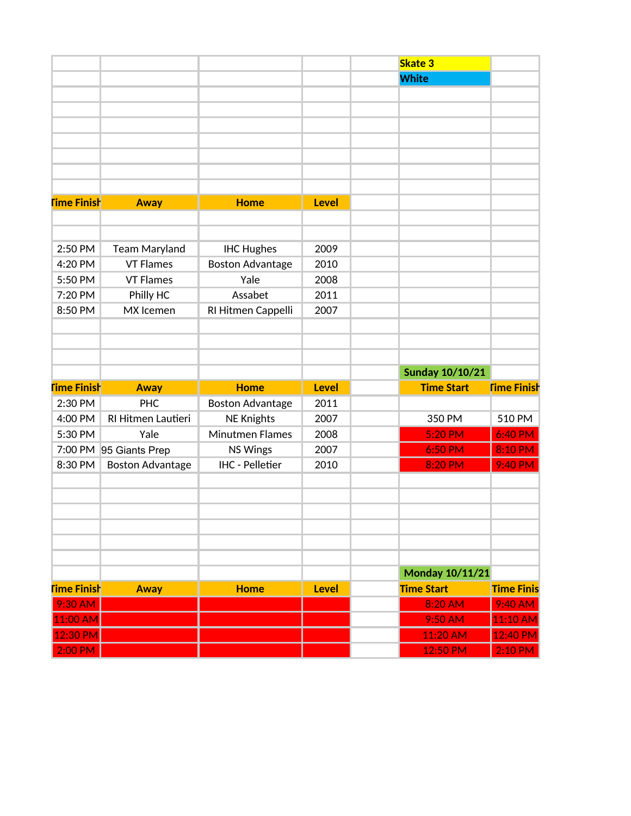|                    |                         |                         |              | <b>Skate 3</b>         |                    |
|--------------------|-------------------------|-------------------------|--------------|------------------------|--------------------|
|                    |                         |                         |              | <b>White</b>           |                    |
|                    |                         |                         |              |                        |                    |
|                    |                         |                         |              |                        |                    |
|                    |                         |                         |              |                        |                    |
|                    |                         |                         |              |                        |                    |
|                    |                         |                         |              |                        |                    |
|                    |                         |                         |              |                        |                    |
|                    |                         |                         |              |                        |                    |
| <b>Time Finish</b> | <b>Away</b>             | <b>Home</b>             | <b>Level</b> |                        |                    |
|                    |                         |                         |              |                        |                    |
|                    |                         |                         |              |                        |                    |
| 2:50 PM            | <b>Team Maryland</b>    | <b>IHC Hughes</b>       | 2009         |                        |                    |
| 4:20 PM            | <b>VT Flames</b>        | <b>Boston Advantage</b> | 2010         |                        |                    |
| 5:50 PM            | <b>VT Flames</b>        | Yale                    | 2008         |                        |                    |
| 7:20 PM            | Philly HC               | Assabet                 | 2011         |                        |                    |
| 8:50 PM            | MX Icemen               | RI Hitmen Cappelli      | 2007         |                        |                    |
|                    |                         |                         |              |                        |                    |
|                    |                         |                         |              |                        |                    |
|                    |                         |                         |              |                        |                    |
|                    |                         |                         |              | <b>Sunday 10/10/21</b> |                    |
| <b>Time Finish</b> | <b>Away</b>             | <b>Home</b>             | <b>Level</b> | <b>Time Start</b>      | <b>Time Finish</b> |
| 2:30 PM            | <b>PHC</b>              | <b>Boston Advantage</b> | 2011         |                        |                    |
| 4:00 PM            | RI Hitmen Lautieri      | <b>NE Knights</b>       | 2007         | 350 PM                 | 510 PM             |
| 5:30 PM            | Yale                    | <b>Minutmen Flames</b>  | 2008         | 5:20 PM                | 6:40 PM            |
|                    | 7:00 PM 95 Giants Prep  | <b>NS Wings</b>         | 2007         | 6:50 PM                | 8:10 PM            |
| 8:30 PM            | <b>Boston Advantage</b> | <b>IHC - Pelletier</b>  | 2010         | 8:20 PM                | 9:40 PM            |
|                    |                         |                         |              |                        |                    |
|                    |                         |                         |              |                        |                    |
|                    |                         |                         |              |                        |                    |
|                    |                         |                         |              |                        |                    |
|                    |                         |                         |              |                        |                    |
|                    |                         |                         |              |                        |                    |
|                    |                         |                         |              | <b>Monday 10/11/21</b> |                    |
| <b>Time Finish</b> | <b>Away</b>             | <b>Home</b>             | <b>Level</b> | <b>Time Start</b>      | <b>Time Finis</b>  |
| $9:30$ AM          |                         |                         |              | 8:20 AM                | 9:40 AM            |
| 11:00 AM           |                         |                         |              | 9:50 AM                | 11:10 AM           |
| 12:30 PM           |                         |                         |              | 11:20 AM               | 12:40 PM           |
| $2:00$ PM          |                         |                         |              | 12:50 PM               | 2:10 PM            |